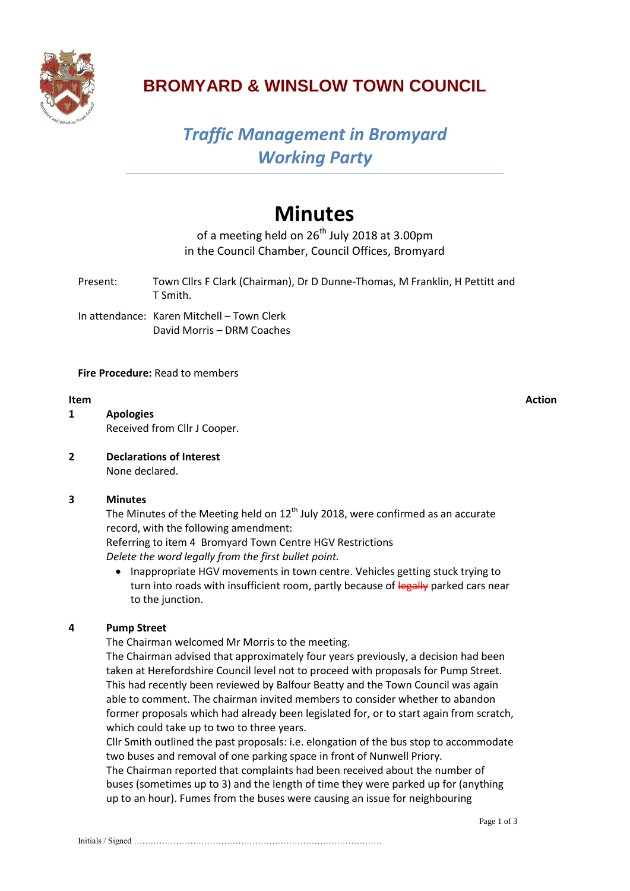

### **BROMYARD & WINSLOW TOWN COUNCIL**

## *Traffic Management in Bromyard Working Party*

# **Minutes**

of a meeting held on  $26^{th}$  July 2018 at 3.00pm in the Council Chamber, Council Offices, Bromyard

- Present: Town Cllrs F Clark (Chairman), Dr D Dunne-Thomas, M Franklin, H Pettitt and T Smith.
- In attendance: Karen Mitchell Town Clerk David Morris – DRM Coaches

#### **Fire Procedure:** Read to members

- **1 Apologies** Received from Cllr J Cooper.
- **2 Declarations of Interest** None declared.

#### **3 Minutes**

The Minutes of the Meeting held on  $12<sup>th</sup>$  July 2018, were confirmed as an accurate record, with the following amendment:

Referring to item 4 Bromyard Town Centre HGV Restrictions *Delete the word legally from the first bullet point.*

• Inappropriate HGV movements in town centre. Vehicles getting stuck trying to turn into roads with insufficient room, partly because of legally parked cars near to the junction.

### **4 Pump Street**

The Chairman welcomed Mr Morris to the meeting.

The Chairman advised that approximately four years previously, a decision had been taken at Herefordshire Council level not to proceed with proposals for Pump Street. This had recently been reviewed by Balfour Beatty and the Town Council was again able to comment. The chairman invited members to consider whether to abandon former proposals which had already been legislated for, or to start again from scratch, which could take up to two to three years.

Cllr Smith outlined the past proposals: i.e. elongation of the bus stop to accommodate two buses and removal of one parking space in front of Nunwell Priory.

The Chairman reported that complaints had been received about the number of buses (sometimes up to 3) and the length of time they were parked up for (anything up to an hour). Fumes from the buses were causing an issue for neighbouring

**Item Action**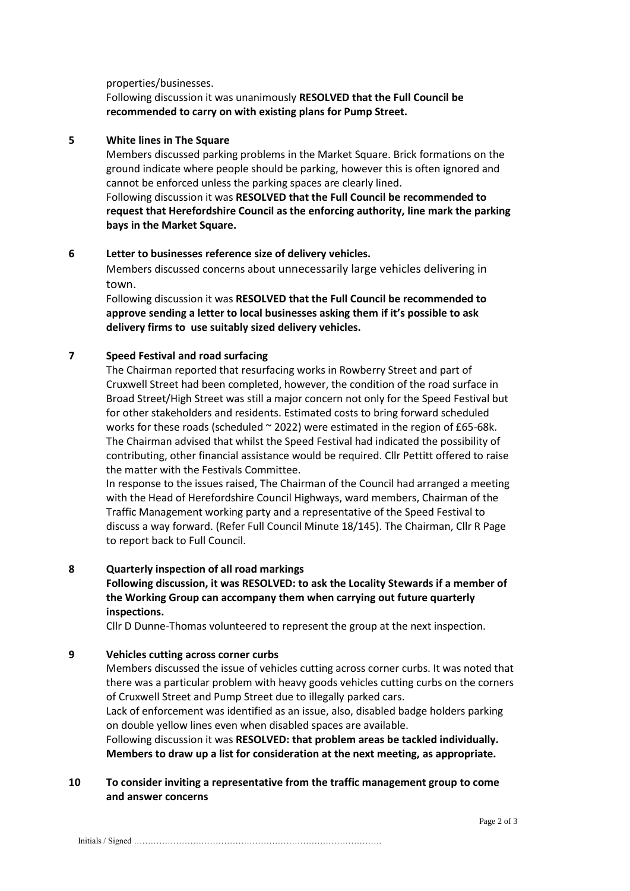properties/businesses.

#### Following discussion it was unanimously **RESOLVED that the Full Council be recommended to carry on with existing plans for Pump Street.**

#### **5 White lines in The Square**

Members discussed parking problems in the Market Square. Brick formations on the ground indicate where people should be parking, however this is often ignored and cannot be enforced unless the parking spaces are clearly lined. Following discussion it was **RESOLVED that the Full Council be recommended to request that Herefordshire Council as the enforcing authority, line mark the parking bays in the Market Square.**

### **6 Letter to businesses reference size of delivery vehicles.**

Members discussed concerns about unnecessarily large vehicles delivering in town.

Following discussion it was **RESOLVED that the Full Council be recommended to approve sending a letter to local businesses asking them if it's possible to ask delivery firms to use suitably sized delivery vehicles.** 

#### **7 Speed Festival and road surfacing**

The Chairman reported that resurfacing works in Rowberry Street and part of Cruxwell Street had been completed, however, the condition of the road surface in Broad Street/High Street was still a major concern not only for the Speed Festival but for other stakeholders and residents. Estimated costs to bring forward scheduled works for these roads (scheduled  $\sim$  2022) were estimated in the region of £65-68k. The Chairman advised that whilst the Speed Festival had indicated the possibility of contributing, other financial assistance would be required. Cllr Pettitt offered to raise the matter with the Festivals Committee.

In response to the issues raised, The Chairman of the Council had arranged a meeting with the Head of Herefordshire Council Highways, ward members, Chairman of the Traffic Management working party and a representative of the Speed Festival to discuss a way forward. (Refer Full Council Minute 18/145). The Chairman, Cllr R Page to report back to Full Council.

#### **8 Quarterly inspection of all road markings**

#### **Following discussion, it was RESOLVED: to ask the Locality Stewards if a member of the Working Group can accompany them when carrying out future quarterly inspections.**

Cllr D Dunne-Thomas volunteered to represent the group at the next inspection.

#### **9 Vehicles cutting across corner curbs**

Members discussed the issue of vehicles cutting across corner curbs. It was noted that there was a particular problem with heavy goods vehicles cutting curbs on the corners of Cruxwell Street and Pump Street due to illegally parked cars.

Lack of enforcement was identified as an issue, also, disabled badge holders parking on double yellow lines even when disabled spaces are available.

Following discussion it was **RESOLVED: that problem areas be tackled individually. Members to draw up a list for consideration at the next meeting, as appropriate.**

#### **10 To consider inviting a representative from the traffic management group to come and answer concerns**

Initials / Signed …………………………………………………………………………….